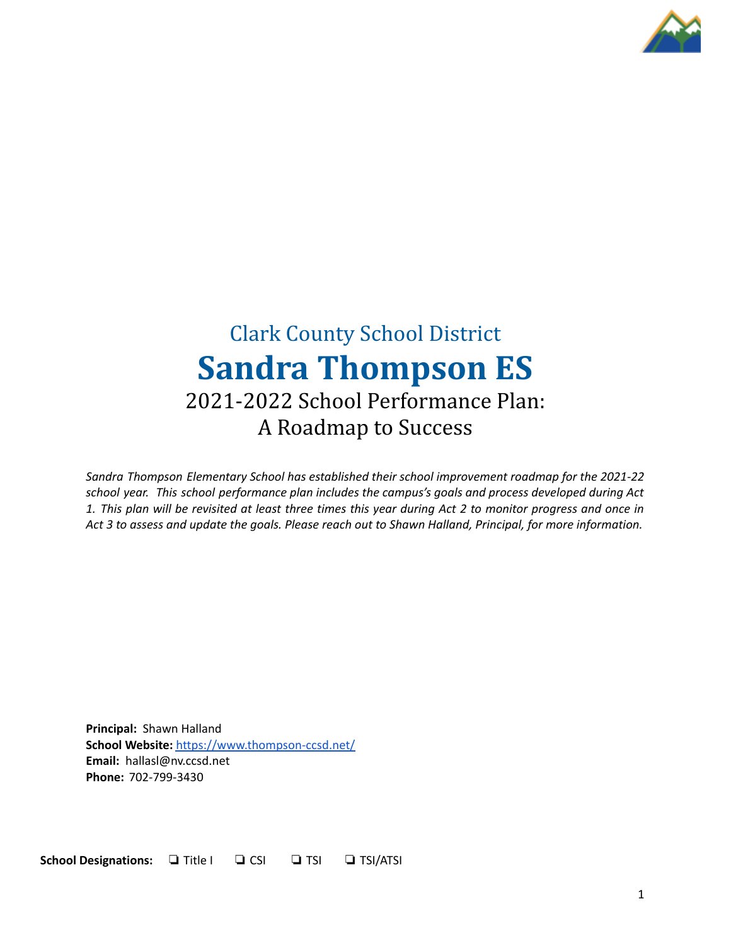

# Clark County School District **Sandra Thompson ES** 2021-2022 School Performance Plan: A Roadmap to Success

*Sandra Thompson Elementary School has established their school improvement roadmap for the 2021-22 school year. This school performance plan includes the campus's goals and process developed during Act* 1. This plan will be revisited at least three times this year during Act 2 to monitor progress and once in Act 3 to assess and update the goals. Please reach out to Shawn Halland, Principal, for more information.

**Principal:** Shawn Halland **School Website:** <https://www.thompson-ccsd.net/> **Email:** hallasl@nv.ccsd.net **Phone:** 702-799-3430

**School Designations:** ❏ Title I ❏ CSI ❏ TSI ❏ TSI/ATSI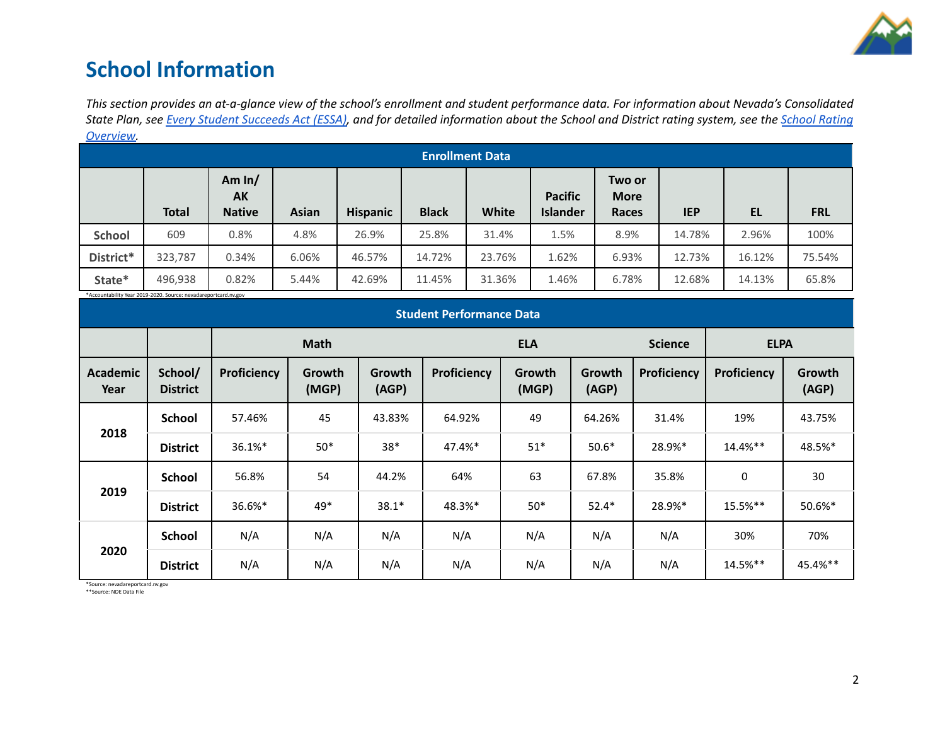

## **School Information**

This section provides an at-a-glance view of the school's enrollment and student performance data. For information about Nevada's Consolidated State Plan, see Every Student [Succeeds](https://doe.nv.gov/uploadedFiles/ndedoenvgov/content/Boards_Commissions_Councils/ESSA_Adv_Group/NevadaSubmittedConsolidatedPlanFinal.pdf) Act (ESSA), and for detailed information about the School and District rating system, see the School [Rating](http://nevadareportcard.nv.gov/DI/MoreDownload?filename=Nevadas%20School%20Rating%20System.pdf) *[Overview.](http://nevadareportcard.nv.gov/DI/MoreDownload?filename=Nevadas%20School%20Rating%20System.pdf)*

|               | <u>OVERVIEW.</u><br><b>Enrollment Data</b>                      |                                 |              |                 |              |        |                                   |                                       |            |           |            |
|---------------|-----------------------------------------------------------------|---------------------------------|--------------|-----------------|--------------|--------|-----------------------------------|---------------------------------------|------------|-----------|------------|
|               | <b>Total</b>                                                    | Am $ln/$<br>AK<br><b>Native</b> | <b>Asian</b> | <b>Hispanic</b> | <b>Black</b> | White  | <b>Pacific</b><br><b>Islander</b> | Two or<br><b>More</b><br><b>Races</b> | <b>IEP</b> | <b>EL</b> | <b>FRL</b> |
| <b>School</b> | 609                                                             | 0.8%                            | 4.8%         | 26.9%           | 25.8%        | 31.4%  | 1.5%                              | 8.9%                                  | 14.78%     | 2.96%     | 100%       |
| District*     | 323,787                                                         | 0.34%                           | 6.06%        | 46.57%          | 14.72%       | 23.76% | 1.62%                             | 6.93%                                 | 12.73%     | 16.12%    | 75.54%     |
| State*        | 496,938                                                         | 0.82%                           | 5.44%        | 42.69%          | 11.45%       | 31.36% | 1.46%                             | 6.78%                                 | 12.68%     | 14.13%    | 65.8%      |
|               | *Accountability Year 2019-2020. Source: nevadareportcard.nv.gov |                                 |              |                 |              |        |                                   |                                       |            |           |            |

|                         | <b>Student Performance Data</b> |             |                 |                 |             |                 |                 |             |             |                 |
|-------------------------|---------------------------------|-------------|-----------------|-----------------|-------------|-----------------|-----------------|-------------|-------------|-----------------|
|                         |                                 | <b>Math</b> |                 |                 |             | <b>ELA</b>      |                 |             | <b>ELPA</b> |                 |
| <b>Academic</b><br>Year | School/<br><b>District</b>      | Proficiency | Growth<br>(MGP) | Growth<br>(AGP) | Proficiency | Growth<br>(MGP) | Growth<br>(AGP) | Proficiency | Proficiency | Growth<br>(AGP) |
|                         | <b>School</b>                   | 57.46%      | 45              | 43.83%          | 64.92%      | 49              | 64.26%          | 31.4%       | 19%         | 43.75%          |
| 2018                    | <b>District</b>                 | 36.1%*      | $50*$           | $38*$           | 47.4%*      | $51*$           | $50.6*$         | 28.9%*      | $14.4%$ **  | 48.5%*          |
|                         | <b>School</b>                   | 56.8%       | 54              | 44.2%           | 64%         | 63              | 67.8%           | 35.8%       | 0           | 30              |
| 2019                    | <b>District</b>                 | 36.6%*      | $49*$           | $38.1*$         | 48.3%*      | $50*$           | $52.4*$         | 28.9%*      | 15.5%**     | 50.6%*          |
|                         | <b>School</b>                   | N/A         | N/A             | N/A             | N/A         | N/A             | N/A             | N/A         | 30%         | 70%             |
| 2020                    | <b>District</b>                 | N/A         | N/A             | N/A             | N/A         | N/A             | N/A             | N/A         | 14.5%**     | 45.4%**         |

\*Source: nevadareportcard.nv.gov \*\*Source: NDE Data File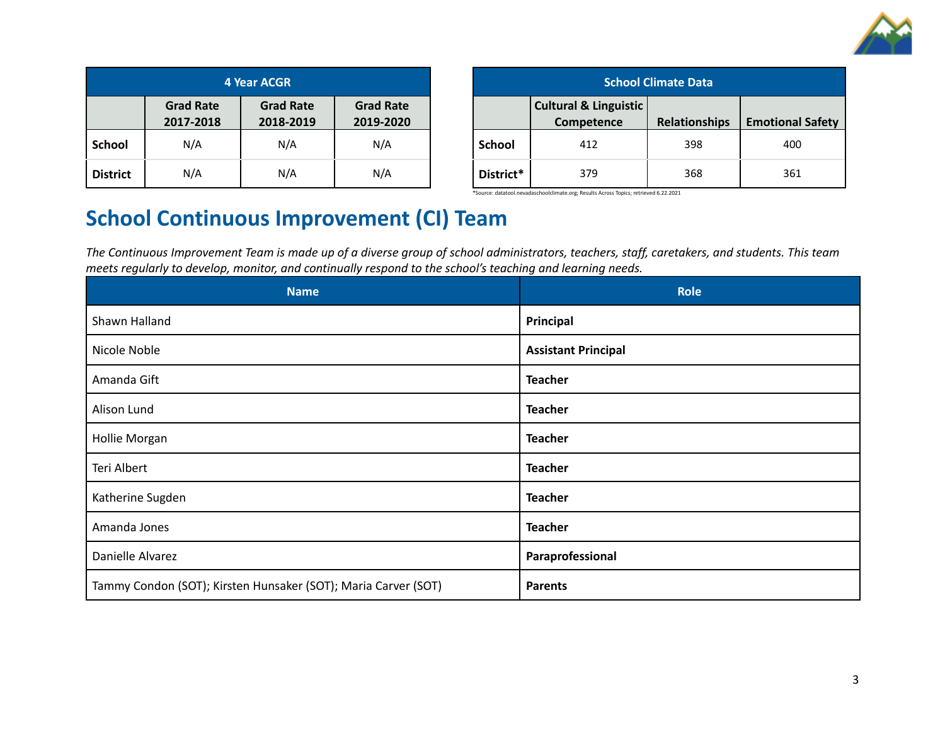

| <b>4 Year ACGR</b> |                               |                               |                               |  |  |
|--------------------|-------------------------------|-------------------------------|-------------------------------|--|--|
|                    | <b>Grad Rate</b><br>2017-2018 | <b>Grad Rate</b><br>2018-2019 | <b>Grad Rate</b><br>2019-2020 |  |  |
| <b>School</b>      | N/A                           | N/A                           | N/A                           |  |  |
| <b>District</b>    | N/A                           | N/A                           | N/A                           |  |  |

| <b>School Climate Data</b> |                                                |                      |                         |  |  |
|----------------------------|------------------------------------------------|----------------------|-------------------------|--|--|
|                            | <b>Cultural &amp; Linguistic</b><br>Competence | <b>Relationships</b> | <b>Emotional Safety</b> |  |  |
| School                     | 412                                            | 398                  | 400                     |  |  |
| District*                  | 379                                            | 368                  | 361                     |  |  |

\*Source: datatool.nevadaschoolclimate.org; Results Across Topics; retrieved 6.22.2021

## **School Continuous Improvement (CI) Team**

The Continuous Improvement Team is made up of a diverse group of school administrators, teachers, staff, caretakers, and students. This team *meets regularly to develop, monitor, and continually respond to the school's teaching and learning needs.*

| <b>Name</b>                                                    | <b>Role</b>                |
|----------------------------------------------------------------|----------------------------|
| Shawn Halland                                                  | Principal                  |
| Nicole Noble                                                   | <b>Assistant Principal</b> |
| Amanda Gift                                                    | <b>Teacher</b>             |
| Alison Lund                                                    | <b>Teacher</b>             |
| Hollie Morgan                                                  | <b>Teacher</b>             |
| Teri Albert                                                    | <b>Teacher</b>             |
| Katherine Sugden                                               | <b>Teacher</b>             |
| Amanda Jones                                                   | <b>Teacher</b>             |
| Danielle Alvarez                                               | Paraprofessional           |
| Tammy Condon (SOT); Kirsten Hunsaker (SOT); Maria Carver (SOT) | <b>Parents</b>             |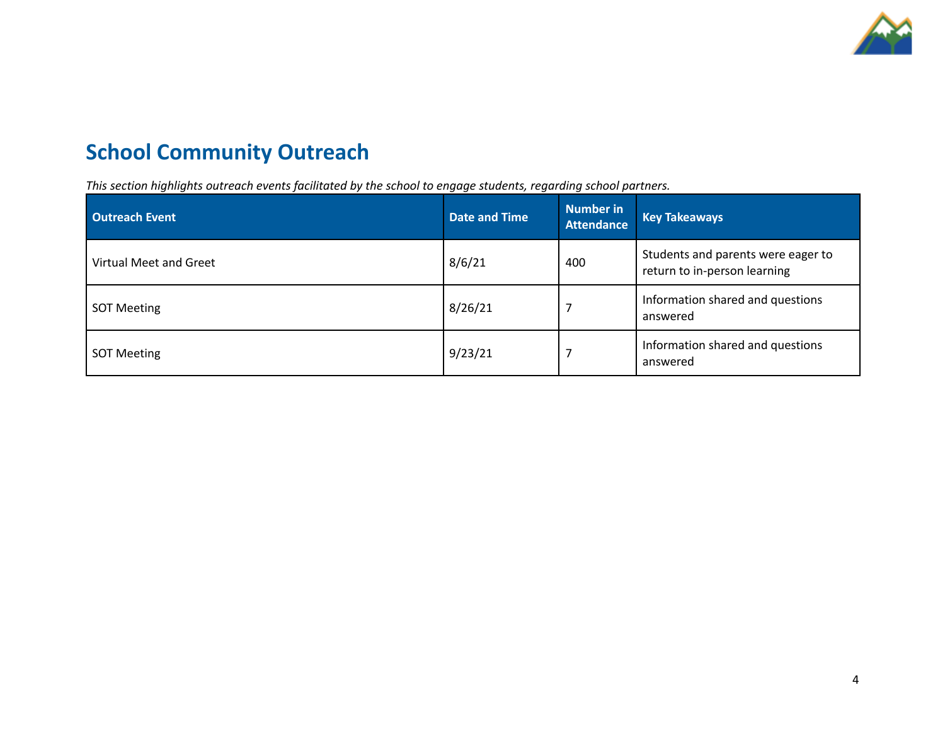

# **School Community Outreach**

*This section highlights outreach events facilitated by the school to engage students, regarding school partners.*

| <b>Outreach Event</b>  | <b>Date and Time</b> | Number in<br><b>Attendance</b> | <b>Key Takeaways</b>                                               |
|------------------------|----------------------|--------------------------------|--------------------------------------------------------------------|
| Virtual Meet and Greet | 8/6/21               | 400                            | Students and parents were eager to<br>return to in-person learning |
| <b>SOT Meeting</b>     | 8/26/21              |                                | Information shared and questions<br>answered                       |
| <b>SOT Meeting</b>     | 9/23/21              |                                | Information shared and questions<br>answered                       |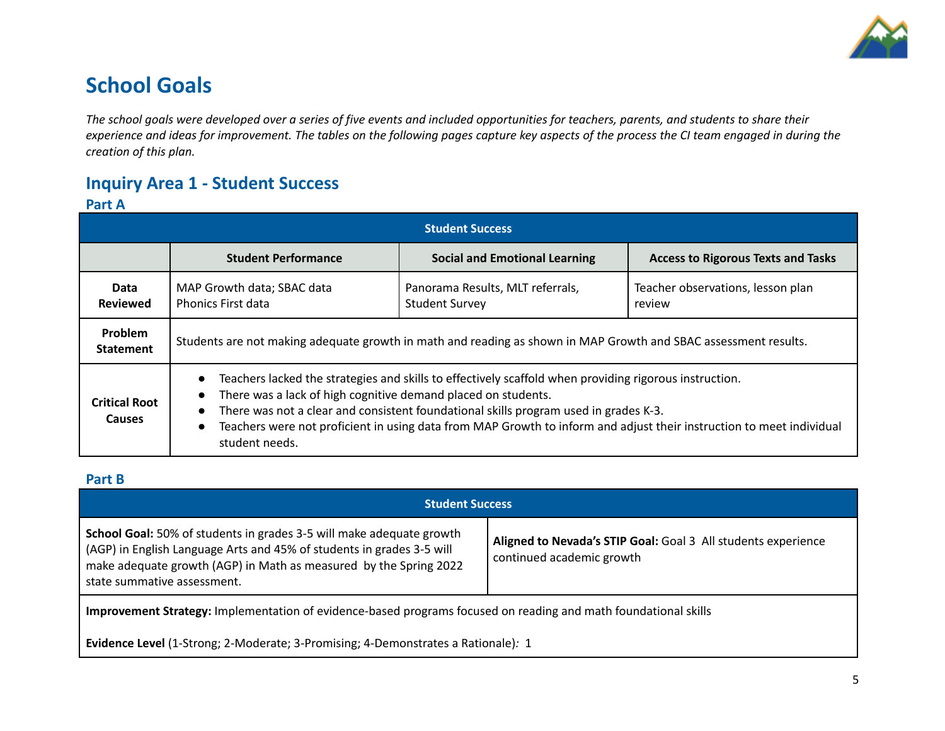

## **School Goals**

The school goals were developed over a series of five events and included opportunities for teachers, parents, and students to share their experience and ideas for improvement. The tables on the following pages capture key aspects of the process the CI team engaged in during the *creation of this plan.*

## **Inquiry Area 1 - Student Success**

### **Part A**

| <b>Student Success</b>                |                                                                                                                                                                                                                                                                                                                                                                                                                                                               |                                                           |                                             |  |  |  |
|---------------------------------------|---------------------------------------------------------------------------------------------------------------------------------------------------------------------------------------------------------------------------------------------------------------------------------------------------------------------------------------------------------------------------------------------------------------------------------------------------------------|-----------------------------------------------------------|---------------------------------------------|--|--|--|
|                                       | <b>Student Performance</b>                                                                                                                                                                                                                                                                                                                                                                                                                                    | <b>Social and Emotional Learning</b>                      | <b>Access to Rigorous Texts and Tasks</b>   |  |  |  |
| Data<br><b>Reviewed</b>               | MAP Growth data; SBAC data<br><b>Phonics First data</b>                                                                                                                                                                                                                                                                                                                                                                                                       | Panorama Results, MLT referrals,<br><b>Student Survey</b> | Teacher observations, lesson plan<br>review |  |  |  |
| Problem<br><b>Statement</b>           | Students are not making adequate growth in math and reading as shown in MAP Growth and SBAC assessment results.                                                                                                                                                                                                                                                                                                                                               |                                                           |                                             |  |  |  |
| <b>Critical Root</b><br><b>Causes</b> | Teachers lacked the strategies and skills to effectively scaffold when providing rigorous instruction.<br>$\bullet$<br>There was a lack of high cognitive demand placed on students.<br>$\bullet$<br>There was not a clear and consistent foundational skills program used in grades K-3.<br>$\bullet$<br>Teachers were not proficient in using data from MAP Growth to inform and adjust their instruction to meet individual<br>$\bullet$<br>student needs. |                                                           |                                             |  |  |  |

### **Part B**

| <b>Student Success</b>                                                                                                                                                                                                                                   |                                                                                            |  |  |  |
|----------------------------------------------------------------------------------------------------------------------------------------------------------------------------------------------------------------------------------------------------------|--------------------------------------------------------------------------------------------|--|--|--|
| <b>School Goal:</b> 50% of students in grades 3-5 will make adequate growth<br>(AGP) in English Language Arts and 45% of students in grades 3-5 will<br>make adequate growth (AGP) in Math as measured by the Spring 2022<br>state summative assessment. | Aligned to Nevada's STIP Goal: Goal 3 All students experience<br>continued academic growth |  |  |  |
| Improvement Strategy: Implementation of evidence-based programs focused on reading and math foundational skills                                                                                                                                          |                                                                                            |  |  |  |

**Evidence Level** (1-Strong; 2-Moderate; 3-Promising; 4-Demonstrates a Rationale)*:* 1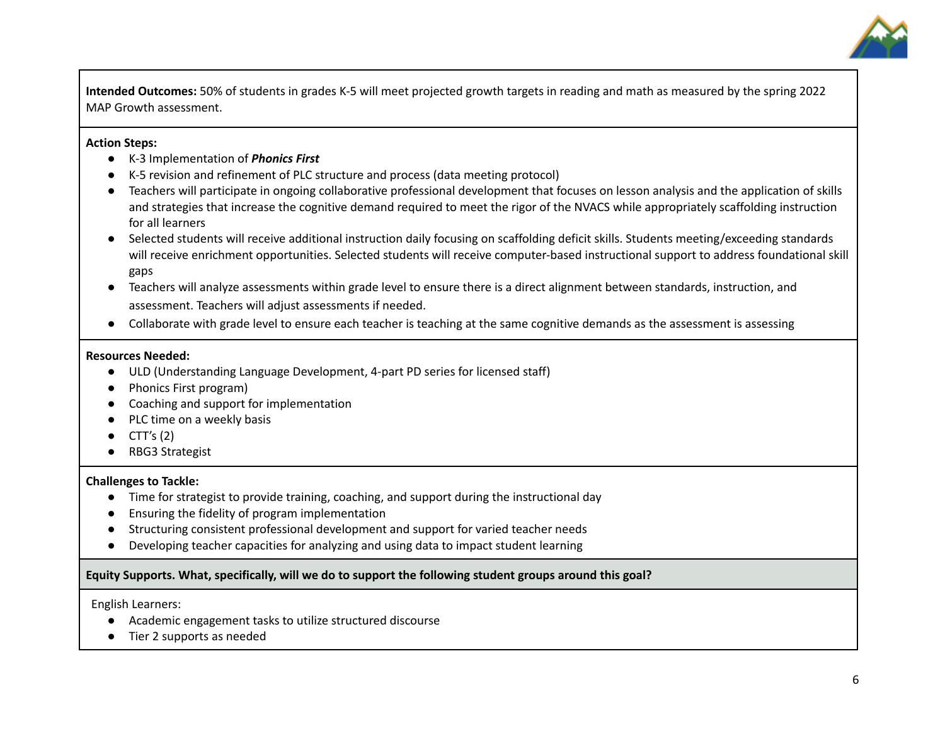

**Intended Outcomes:** 50% of students in grades K-5 will meet projected growth targets in reading and math as measured by the spring 2022 MAP Growth assessment.

#### **Action Steps:**

- K-3 Implementation of *Phonics First*
- K-5 revision and refinement of PLC structure and process (data meeting protocol)
- Teachers will participate in ongoing collaborative professional development that focuses on lesson analysis and the application of skills and strategies that increase the cognitive demand required to meet the rigor of the NVACS while appropriately scaffolding instruction for all learners
- Selected students will receive additional instruction daily focusing on scaffolding deficit skills. Students meeting/exceeding standards will receive enrichment opportunities. Selected students will receive computer-based instructional support to address foundational skill gaps
- Teachers will analyze assessments within grade level to ensure there is a direct alignment between standards, instruction, and assessment. Teachers will adjust assessments if needed.
- Collaborate with grade level to ensure each teacher is teaching at the same cognitive demands as the assessment is assessing

#### **Resources Needed:**

- ULD (Understanding Language Development, 4-part PD series for licensed staff)
- Phonics First program)
- Coaching and support for implementation
- PLC time on a weekly basis
- CTT's (2)
- RBG3 Strategist

### **Challenges to Tackle:**

- Time for strategist to provide training, coaching, and support during the instructional day
- Ensuring the fidelity of program implementation
- Structuring consistent professional development and support for varied teacher needs
- Developing teacher capacities for analyzing and using data to impact student learning

### **Equity Supports. What, specifically, will we do to support the following student groups around this goal?**

English Learners:

- Academic engagement tasks to utilize structured discourse
- Tier 2 supports as needed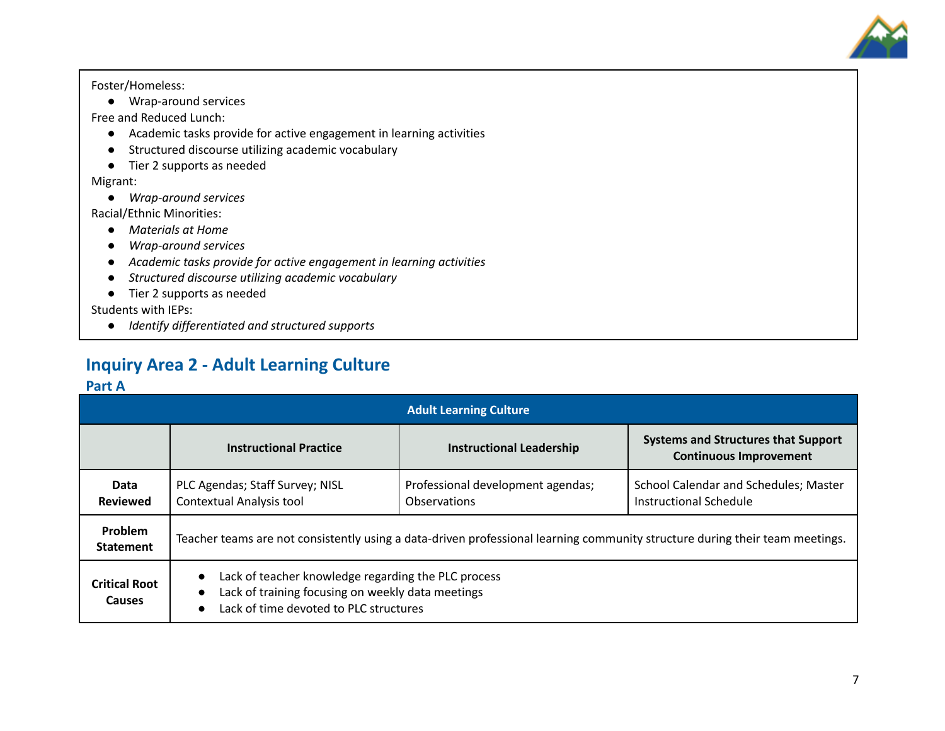

Foster/Homeless:

● Wrap-around services

Free and Reduced Lunch:

- Academic tasks provide for active engagement in learning activities
- Structured discourse utilizing academic vocabulary
- Tier 2 supports as needed

Migrant:

*● Wrap-around services*

Racial/Ethnic Minorities:

- *● Materials at Home*
- *● Wrap-around services*
- *● Academic tasks provide for active engagement in learning activities*
- *● Structured discourse utilizing academic vocabulary*
- Tier 2 supports as needed

Students with IEPs:

*● Identify differentiated and structured supports*

## **Inquiry Area 2 - Adult Learning Culture**

### **Part A**

|                                | <b>Adult Learning Culture</b>                                                                                                                                                             |                                                   |                                                                             |  |  |  |
|--------------------------------|-------------------------------------------------------------------------------------------------------------------------------------------------------------------------------------------|---------------------------------------------------|-----------------------------------------------------------------------------|--|--|--|
|                                | <b>Instructional Practice</b>                                                                                                                                                             | <b>Instructional Leadership</b>                   | <b>Systems and Structures that Support</b><br><b>Continuous Improvement</b> |  |  |  |
| Data<br><b>Reviewed</b>        | PLC Agendas; Staff Survey; NISL<br><b>Contextual Analysis tool</b>                                                                                                                        | Professional development agendas;<br>Observations | School Calendar and Schedules; Master<br>Instructional Schedule             |  |  |  |
| Problem<br><b>Statement</b>    | Teacher teams are not consistently using a data-driven professional learning community structure during their team meetings.                                                              |                                                   |                                                                             |  |  |  |
| <b>Critical Root</b><br>Causes | Lack of teacher knowledge regarding the PLC process<br>$\bullet$<br>Lack of training focusing on weekly data meetings<br>$\bullet$<br>Lack of time devoted to PLC structures<br>$\bullet$ |                                                   |                                                                             |  |  |  |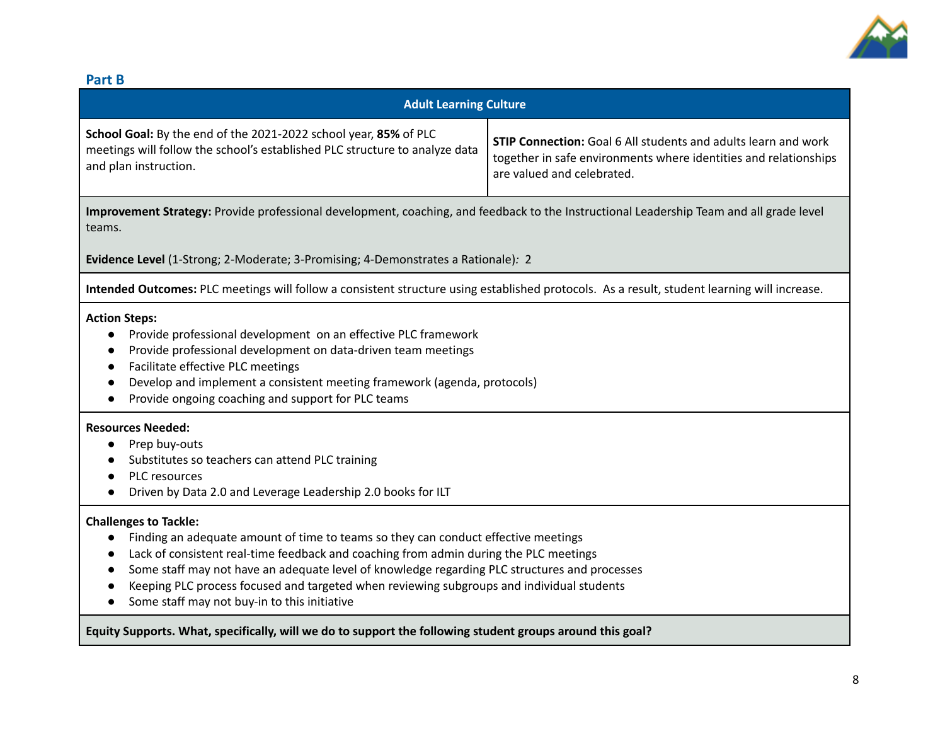

### **Part B**

| <b>Adult Learning Culture</b>                                                                                                                                                                                                                                                                                                                                                                                                                                                                    |  |  |  |  |
|--------------------------------------------------------------------------------------------------------------------------------------------------------------------------------------------------------------------------------------------------------------------------------------------------------------------------------------------------------------------------------------------------------------------------------------------------------------------------------------------------|--|--|--|--|
| School Goal: By the end of the 2021-2022 school year, 85% of PLC<br><b>STIP Connection:</b> Goal 6 All students and adults learn and work<br>meetings will follow the school's established PLC structure to analyze data<br>together in safe environments where identities and relationships<br>and plan instruction.<br>are valued and celebrated.                                                                                                                                              |  |  |  |  |
| Improvement Strategy: Provide professional development, coaching, and feedback to the Instructional Leadership Team and all grade level<br>teams.                                                                                                                                                                                                                                                                                                                                                |  |  |  |  |
| Evidence Level (1-Strong; 2-Moderate; 3-Promising; 4-Demonstrates a Rationale): 2                                                                                                                                                                                                                                                                                                                                                                                                                |  |  |  |  |
| Intended Outcomes: PLC meetings will follow a consistent structure using established protocols. As a result, student learning will increase.                                                                                                                                                                                                                                                                                                                                                     |  |  |  |  |
| <b>Action Steps:</b><br>Provide professional development on an effective PLC framework<br>Provide professional development on data-driven team meetings<br>Facilitate effective PLC meetings<br>$\bullet$<br>Develop and implement a consistent meeting framework (agenda, protocols)<br>Provide ongoing coaching and support for PLC teams                                                                                                                                                      |  |  |  |  |
| <b>Resources Needed:</b><br>Prep buy-outs<br>Substitutes so teachers can attend PLC training<br>PLC resources<br>Driven by Data 2.0 and Leverage Leadership 2.0 books for ILT                                                                                                                                                                                                                                                                                                                    |  |  |  |  |
| <b>Challenges to Tackle:</b><br>Finding an adequate amount of time to teams so they can conduct effective meetings<br>$\bullet$<br>Lack of consistent real-time feedback and coaching from admin during the PLC meetings<br>$\bullet$<br>Some staff may not have an adequate level of knowledge regarding PLC structures and processes<br>$\bullet$<br>Keeping PLC process focused and targeted when reviewing subgroups and individual students<br>Some staff may not buy-in to this initiative |  |  |  |  |
| Equity Supports. What, specifically, will we do to support the following student groups around this goal?                                                                                                                                                                                                                                                                                                                                                                                        |  |  |  |  |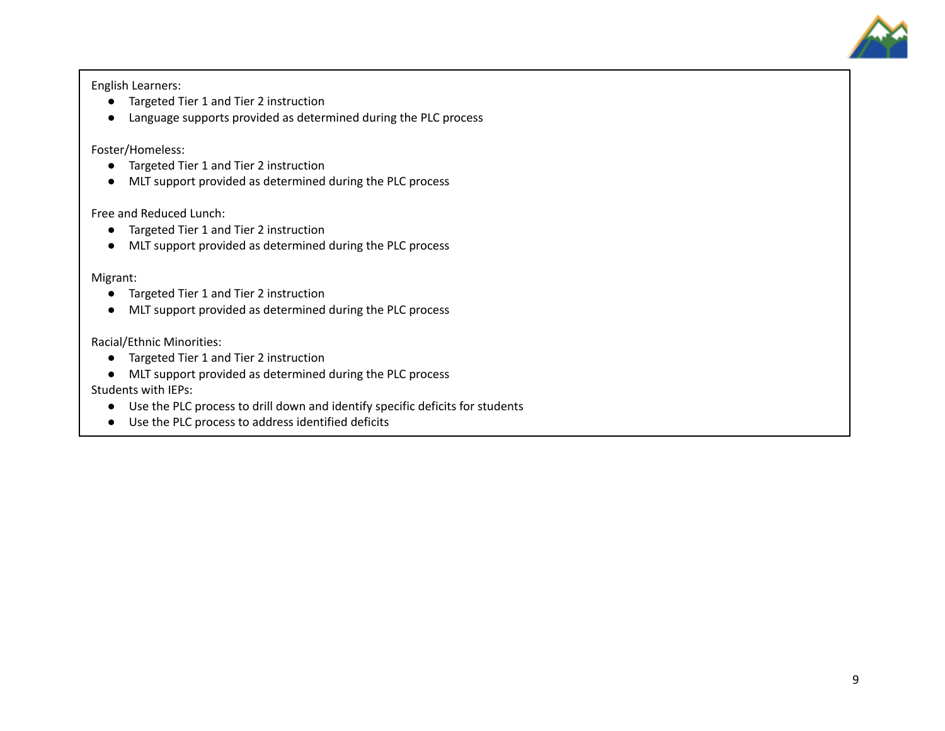

English Learners:

- Targeted Tier 1 and Tier 2 instruction
- Language supports provided as determined during the PLC process

Foster/Homeless:

- Targeted Tier 1 and Tier 2 instruction
- MLT support provided as determined during the PLC process

Free and Reduced Lunch:

- Targeted Tier 1 and Tier 2 instruction
- MLT support provided as determined during the PLC process

Migrant:

- Targeted Tier 1 and Tier 2 instruction
- MLT support provided as determined during the PLC process

Racial/Ethnic Minorities:

- Targeted Tier 1 and Tier 2 instruction
- MLT support provided as determined during the PLC process

Students with IEPs:

- Use the PLC process to drill down and identify specific deficits for students
- Use the PLC process to address identified deficits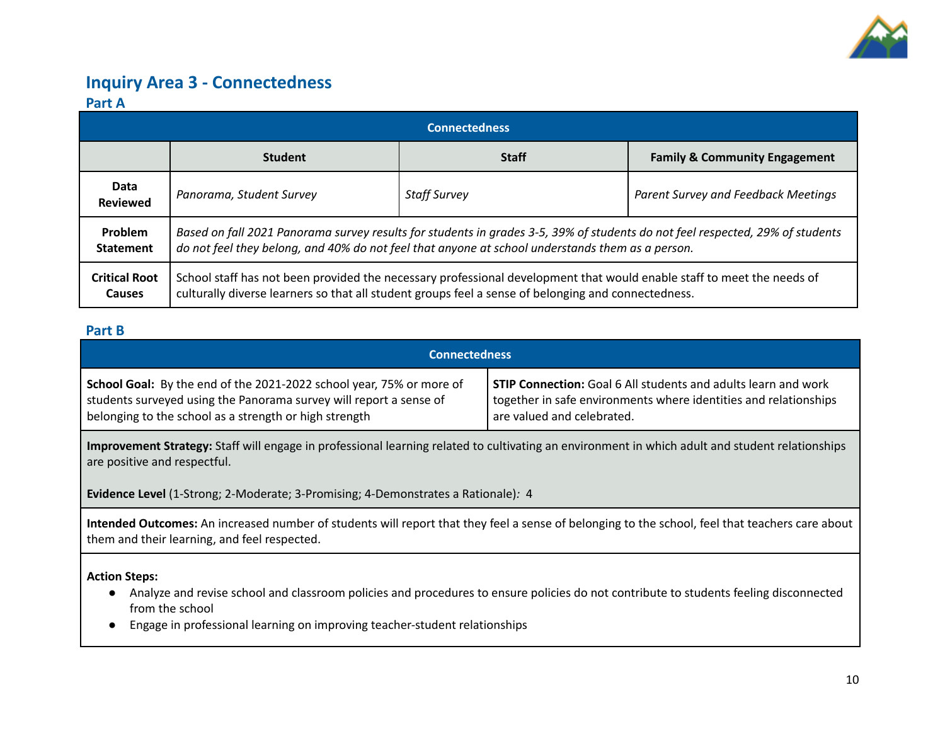

### **Inquiry Area 3 - Connectedness**

### **Part A**

|                                | <b>Connectedness</b>                                                                                                                                                                                                              |                     |                                          |  |  |  |  |
|--------------------------------|-----------------------------------------------------------------------------------------------------------------------------------------------------------------------------------------------------------------------------------|---------------------|------------------------------------------|--|--|--|--|
|                                | <b>Student</b>                                                                                                                                                                                                                    | <b>Staff</b>        | <b>Family &amp; Community Engagement</b> |  |  |  |  |
| Data<br><b>Reviewed</b>        | Panorama, Student Survey                                                                                                                                                                                                          | <b>Staff Survey</b> | Parent Survey and Feedback Meetings      |  |  |  |  |
| Problem<br><b>Statement</b>    | Based on fall 2021 Panorama survey results for students in grades 3-5, 39% of students do not feel respected, 29% of students<br>do not feel they belong, and 40% do not feel that anyone at school understands them as a person. |                     |                                          |  |  |  |  |
| <b>Critical Root</b><br>Causes | School staff has not been provided the necessary professional development that would enable staff to meet the needs of<br>culturally diverse learners so that all student groups feel a sense of belonging and connectedness.     |                     |                                          |  |  |  |  |

### **Part B**

| <b>Connectedness</b>                                                 |                                                                       |
|----------------------------------------------------------------------|-----------------------------------------------------------------------|
| School Goal: By the end of the 2021-2022 school year, 75% or more of | <b>STIP Connection:</b> Goal 6 All students and adults learn and work |
| students surveyed using the Panorama survey will report a sense of   | together in safe environments where identities and relationships      |
| belonging to the school as a strength or high strength               | are valued and celebrated.                                            |

**Improvement Strategy:** Staff will engage in professional learning related to cultivating an environment in which adult and student relationships are positive and respectful.

**Evidence Level** (1-Strong; 2-Moderate; 3-Promising; 4-Demonstrates a Rationale)*:* 4

**Intended Outcomes:** An increased number of students will report that they feel a sense of belonging to the school, feel that teachers care about them and their learning, and feel respected.

**Action Steps:**

- Analyze and revise school and classroom policies and procedures to ensure policies do not contribute to students feeling disconnected from the school
- Engage in professional learning on improving teacher-student relationships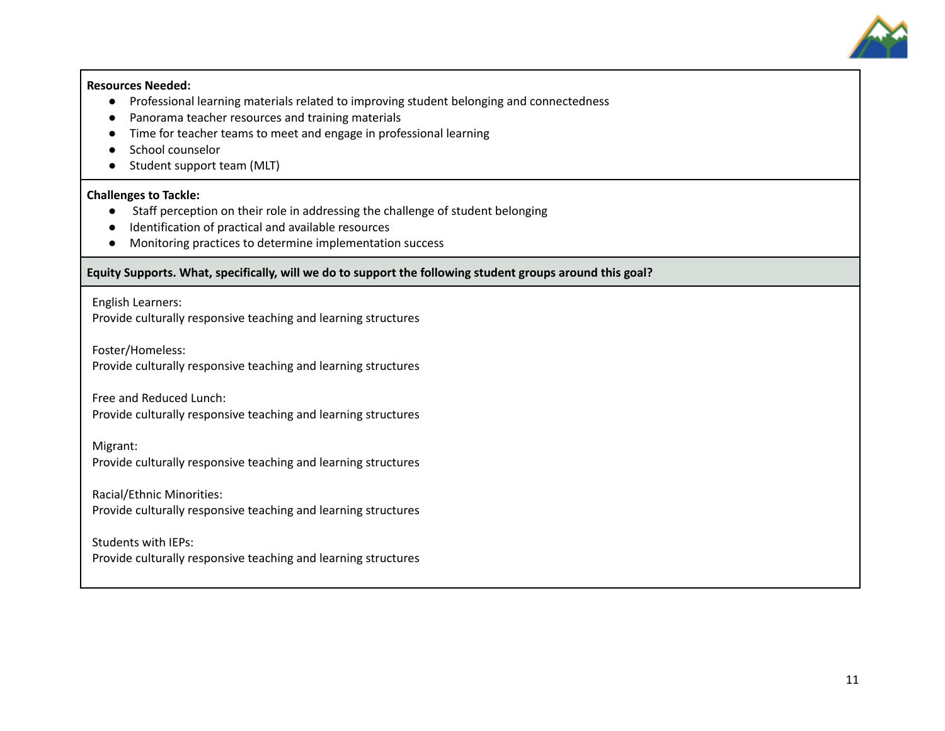

#### **Resources Needed:**

- Professional learning materials related to improving student belonging and connectedness
- Panorama teacher resources and training materials
- Time for teacher teams to meet and engage in professional learning
- School counselor
- Student support team (MLT)

### **Challenges to Tackle:**

- **●** Staff perception on their role in addressing the challenge of student belonging
- Identification of practical and available resources
- Monitoring practices to determine implementation success

### **Equity Supports. What, specifically, will we do to support the following student groups around this goal?**

English Learners:

Provide culturally responsive teaching and learning structures

Foster/Homeless:

Provide culturally responsive teaching and learning structures

Free and Reduced Lunch:

Provide culturally responsive teaching and learning structures

Migrant:

Provide culturally responsive teaching and learning structures

Racial/Ethnic Minorities: Provide culturally responsive teaching and learning structures

Students with IEPs: Provide culturally responsive teaching and learning structures